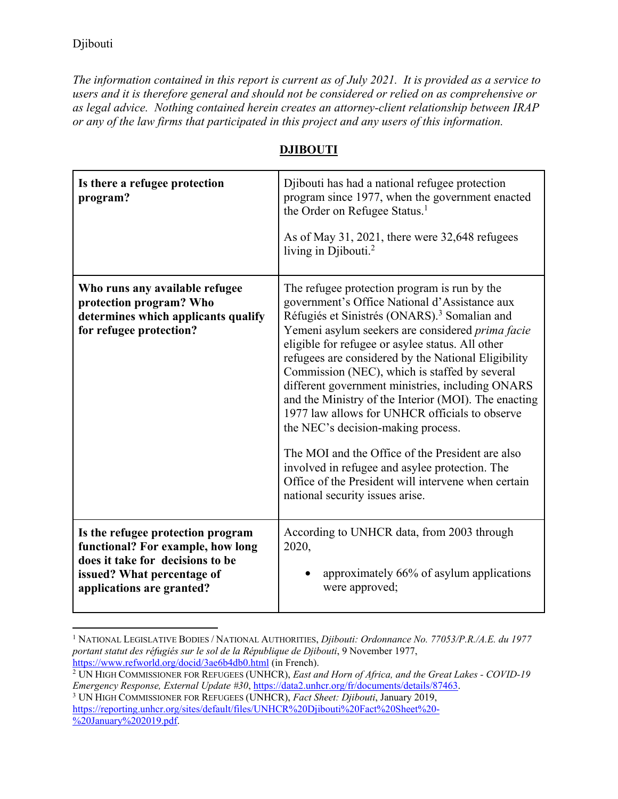$\overline{a}$ 

*The information contained in this report is current as of July 2021. It is provided as a service to users and it is therefore general and should not be considered or relied on as comprehensive or as legal advice. Nothing contained herein creates an attorney-client relationship between IRAP or any of the law firms that participated in this project and any users of this information.* 

| Is there a refugee protection<br>program?                                                                                                                             | Djibouti has had a national refugee protection<br>program since 1977, when the government enacted<br>the Order on Refugee Status. <sup>1</sup><br>As of May 31, 2021, there were 32,648 refugees<br>living in Djibouti. <sup>2</sup>                                                                                                                                                                                                                                                                                                                                                                                                                                                                                                                                          |
|-----------------------------------------------------------------------------------------------------------------------------------------------------------------------|-------------------------------------------------------------------------------------------------------------------------------------------------------------------------------------------------------------------------------------------------------------------------------------------------------------------------------------------------------------------------------------------------------------------------------------------------------------------------------------------------------------------------------------------------------------------------------------------------------------------------------------------------------------------------------------------------------------------------------------------------------------------------------|
| Who runs any available refugee<br>protection program? Who<br>determines which applicants qualify<br>for refugee protection?                                           | The refugee protection program is run by the<br>government's Office National d'Assistance aux<br>Réfugiés et Sinistrés (ONARS). <sup>3</sup> Somalian and<br>Yemeni asylum seekers are considered prima facie<br>eligible for refugee or asylee status. All other<br>refugees are considered by the National Eligibility<br>Commission (NEC), which is staffed by several<br>different government ministries, including ONARS<br>and the Ministry of the Interior (MOI). The enacting<br>1977 law allows for UNHCR officials to observe<br>the NEC's decision-making process.<br>The MOI and the Office of the President are also<br>involved in refugee and asylee protection. The<br>Office of the President will intervene when certain<br>national security issues arise. |
| Is the refugee protection program<br>functional? For example, how long<br>does it take for decisions to be<br>issued? What percentage of<br>applications are granted? | According to UNHCR data, from 2003 through<br>2020,<br>approximately 66% of asylum applications<br>were approved;                                                                                                                                                                                                                                                                                                                                                                                                                                                                                                                                                                                                                                                             |

## **DJIBOUTI**

<sup>1</sup> NATIONAL LEGISLATIVE BODIES / NATIONAL AUTHORITIES, *Djibouti: Ordonnance No. 77053/P.R./A.E. du 1977 portant statut des réfugiés sur le sol de la République de Djibouti*, 9 November 1977, https://www.refworld.org/docid/3ae6b4db0.html (in French). 2

UN HIGH COMMISSIONER FOR REFUGEES (UNHCR), *East and Horn of Africa, and the Great Lakes - COVID-19 Emergency Response, External Update #30*, https://data2.unhcr.org/fr/documents/details/87463.

UN HIGH COMMISSIONER FOR REFUGEES (UNHCR), *Fact Sheet: Djibouti*, January 2019, https://reporting.unhcr.org/sites/default/files/UNHCR%20Djibouti%20Fact%20Sheet%20- %20January%202019.pdf.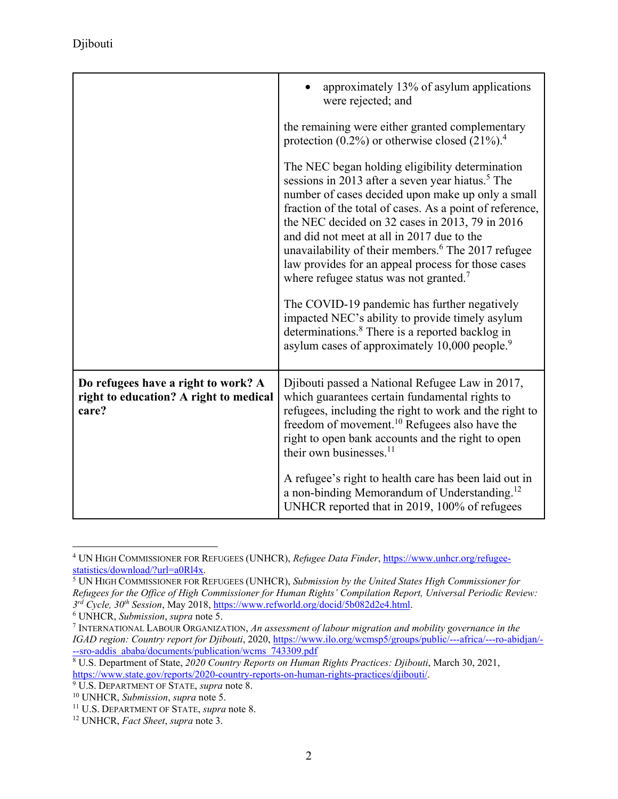|                                                                                        | approximately 13% of asylum applications<br>were rejected; and                                                                                                                                                                                                                                                                                                                                                                                                                                                                                                                                                                                                                                                                                 |
|----------------------------------------------------------------------------------------|------------------------------------------------------------------------------------------------------------------------------------------------------------------------------------------------------------------------------------------------------------------------------------------------------------------------------------------------------------------------------------------------------------------------------------------------------------------------------------------------------------------------------------------------------------------------------------------------------------------------------------------------------------------------------------------------------------------------------------------------|
|                                                                                        | the remaining were either granted complementary<br>protection $(0.2\%)$ or otherwise closed $(21\%).4$                                                                                                                                                                                                                                                                                                                                                                                                                                                                                                                                                                                                                                         |
|                                                                                        | The NEC began holding eligibility determination<br>sessions in 2013 after a seven year hiatus. <sup>5</sup> The<br>number of cases decided upon make up only a small<br>fraction of the total of cases. As a point of reference,<br>the NEC decided on 32 cases in 2013, 79 in 2016<br>and did not meet at all in 2017 due to the<br>unavailability of their members. <sup>6</sup> The 2017 refugee<br>law provides for an appeal process for those cases<br>where refugee status was not granted. <sup>7</sup><br>The COVID-19 pandemic has further negatively<br>impacted NEC's ability to provide timely asylum<br>determinations. <sup>8</sup> There is a reported backlog in<br>asylum cases of approximately 10,000 people. <sup>9</sup> |
| Do refugees have a right to work? A<br>right to education? A right to medical<br>care? | Djibouti passed a National Refugee Law in 2017,<br>which guarantees certain fundamental rights to<br>refugees, including the right to work and the right to<br>freedom of movement. <sup>10</sup> Refugees also have the<br>right to open bank accounts and the right to open<br>their own businesses. <sup>11</sup><br>A refugee's right to health care has been laid out in<br>a non-binding Memorandum of Understanding. <sup>12</sup><br>UNHCR reported that in 2019, 100% of refugees                                                                                                                                                                                                                                                     |

<sup>4</sup> UN HIGH COMMISSIONER FOR REFUGEES (UNHCR), *Refugee Data Finder*, https://www.unhcr.org/refugeestatistics/download/?url=a0Rl4x.

 $\overline{a}$ 

UN HIGH COMMISSIONER FOR REFUGEES (UNHCR), *Submission by the United States High Commissioner for Refugees for the Office of High Commissioner for Human Rights' Compilation Report, Universal Periodic Review: 3rd Cycle, 30th Session*, May 2018, https://www.refworld.org/docid/5b082d2e4.html. 6

UNHCR, *Submission*, *supra* note 5. 7

INTERNATIONAL LABOUR ORGANIZATION, *An assessment of labour migration and mobility governance in the IGAD region: Country report for Djibouti*, 2020, https://www.ilo.org/wcmsp5/groups/public/---africa/---ro-abidjan/- --sro-addis\_ababa/documents/publication/wcms\_743309.pdf

U.S. Department of State, *2020 Country Reports on Human Rights Practices: Djibouti*, March 30, 2021, https://www.state.gov/reports/2020-country-reports-on-human-rights-practices/djibouti/.<br><sup>9</sup> U.S. DEPARTMENT OF STATE, *supra* note 8.

<sup>&</sup>lt;sup>10</sup> UNHCR, *Submission*, *supra* note 5.<br><sup>11</sup> U.S. DEPARTMENT OF STATE, *supra* note 8.<br><sup>12</sup> UNHCR, *Fact Sheet*, *supra* note 3.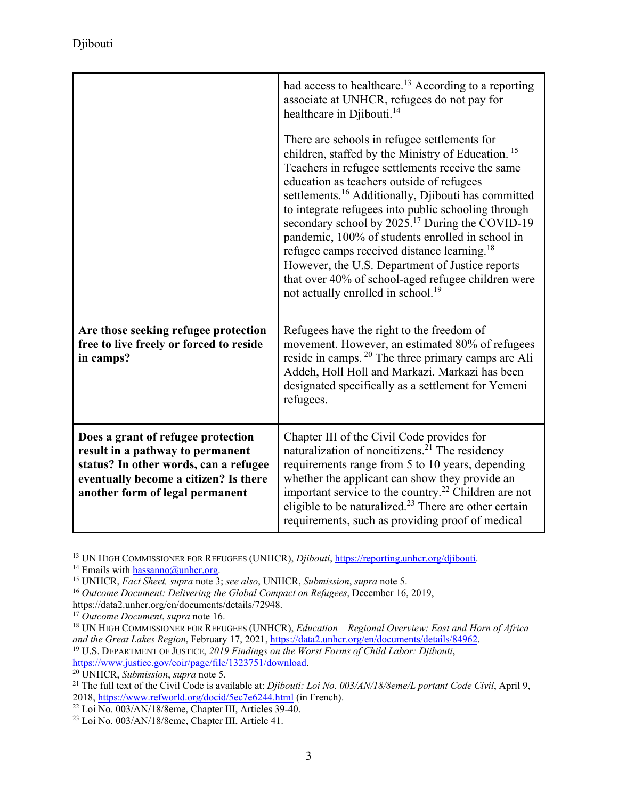|                                                                                                                                                                                             | had access to healthcare. <sup>13</sup> According to a reporting<br>associate at UNHCR, refugees do not pay for<br>healthcare in Djibouti. <sup>14</sup><br>There are schools in refugee settlements for<br>children, staffed by the Ministry of Education. <sup>15</sup><br>Teachers in refugee settlements receive the same<br>education as teachers outside of refugees<br>settlements. <sup>16</sup> Additionally, Djibouti has committed<br>to integrate refugees into public schooling through<br>secondary school by 2025. <sup>17</sup> During the COVID-19<br>pandemic, 100% of students enrolled in school in<br>refugee camps received distance learning. <sup>18</sup><br>However, the U.S. Department of Justice reports<br>that over 40% of school-aged refugee children were<br>not actually enrolled in school. <sup>19</sup> |
|---------------------------------------------------------------------------------------------------------------------------------------------------------------------------------------------|-----------------------------------------------------------------------------------------------------------------------------------------------------------------------------------------------------------------------------------------------------------------------------------------------------------------------------------------------------------------------------------------------------------------------------------------------------------------------------------------------------------------------------------------------------------------------------------------------------------------------------------------------------------------------------------------------------------------------------------------------------------------------------------------------------------------------------------------------|
| Are those seeking refugee protection<br>free to live freely or forced to reside<br>in camps?                                                                                                | Refugees have the right to the freedom of<br>movement. However, an estimated 80% of refugees<br>reside in camps. <sup>20</sup> The three primary camps are Ali<br>Addeh, Holl Holl and Markazi. Markazi has been<br>designated specifically as a settlement for Yemeni<br>refugees.                                                                                                                                                                                                                                                                                                                                                                                                                                                                                                                                                           |
| Does a grant of refugee protection<br>result in a pathway to permanent<br>status? In other words, can a refugee<br>eventually become a citizen? Is there<br>another form of legal permanent | Chapter III of the Civil Code provides for<br>naturalization of noncitizens. <sup>21</sup> The residency<br>requirements range from 5 to 10 years, depending<br>whether the applicant can show they provide an<br>important service to the country. <sup>22</sup> Children are not<br>eligible to be naturalized. $23$ There are other certain<br>requirements, such as providing proof of medical                                                                                                                                                                                                                                                                                                                                                                                                                                            |

<sup>&</sup>lt;sup>13</sup> UN HIGH COMMISSIONER FOR REFUGEES (UNHCR), *Djibouti*, https://reporting.unhcr.org/djibouti.

*and the Great Lakes Region*, February 17, 2021, <u>https://data2.unhcr.org/en/documents/details/84962</u>.<br><sup>19</sup> U.S. DEPARTMENT OF JUSTICE, *2019 Findings on the Worst Forms of Child Labor: Djibouti*,<br><u>https://www.justice.gov/</u>

<sup>&</sup>lt;sup>14</sup> Emails with  $\frac{\text{hassanno@unher.org}}{15}$ <br><sup>15</sup> UNHCR, *Fact Sheet, supra* note 3; *see also*, UNHCR, *Submission*, *supra* note 5.<br><sup>16</sup> Outcome Document: Delivering the Global Compact on Refugees, December 16, 2019,

https://data2.unhcr.org/en/documents/details/72948.<br><sup>17</sup> Outcome Document, supra note 16.

<sup>&</sup>lt;sup>18</sup> UN HIGH COMMISSIONER FOR REFUGEES (UNHCR), *Education – Regional Overview: East and Horn of Africa* 

<sup>&</sup>lt;sup>20</sup> UNHCR, *Submission*, *supra* note 5.<br><sup>21</sup> The full text of the Civil Code is available at: *Djibouti: Loi No. 003/AN/18/8eme/L portant Code Civil*, April 9,<br>2018, <u>https://www.refworld.org/docid/5ec7e6244.html</u> (in Fr

 $2018$ ,  $\frac{1}{22}$  Loi No. 003/AN/18/8eme, Chapter III, Articles 39-40.

<sup>23</sup> Loi No. 003/AN/18/8eme, Chapter III, Article 41.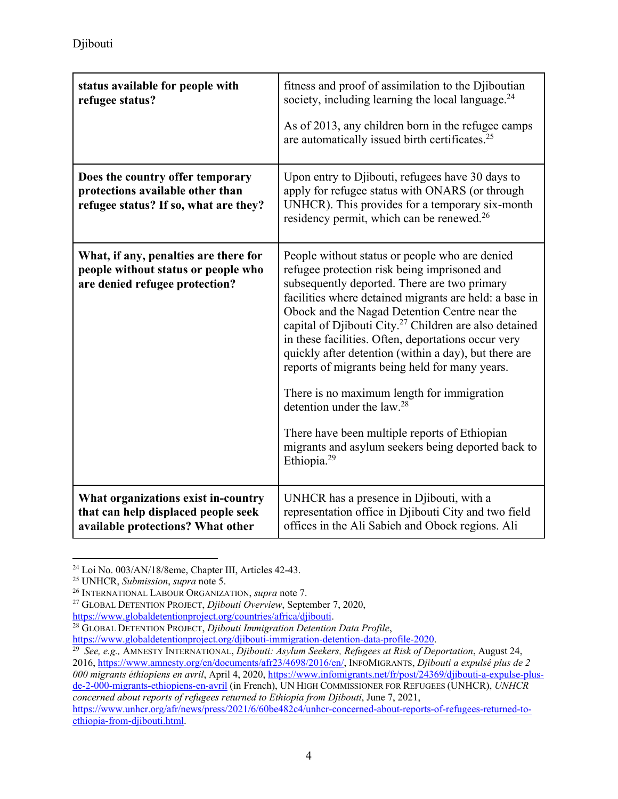| status available for people with<br>refugee status?                                                             | fitness and proof of assimilation to the Djiboutian<br>society, including learning the local language. $^{24}$<br>As of 2013, any children born in the refugee camps<br>are automatically issued birth certificates. <sup>25</sup>                                                                                                                                                                                                                                                                                                                                                                                                                                                                                          |
|-----------------------------------------------------------------------------------------------------------------|-----------------------------------------------------------------------------------------------------------------------------------------------------------------------------------------------------------------------------------------------------------------------------------------------------------------------------------------------------------------------------------------------------------------------------------------------------------------------------------------------------------------------------------------------------------------------------------------------------------------------------------------------------------------------------------------------------------------------------|
| Does the country offer temporary<br>protections available other than<br>refugee status? If so, what are they?   | Upon entry to Djibouti, refugees have 30 days to<br>apply for refugee status with ONARS (or through<br>UNHCR). This provides for a temporary six-month<br>residency permit, which can be renewed. <sup>26</sup>                                                                                                                                                                                                                                                                                                                                                                                                                                                                                                             |
| What, if any, penalties are there for<br>people without status or people who<br>are denied refugee protection?  | People without status or people who are denied<br>refugee protection risk being imprisoned and<br>subsequently deported. There are two primary<br>facilities where detained migrants are held: a base in<br>Obock and the Nagad Detention Centre near the<br>capital of Djibouti City. <sup>27</sup> Children are also detained<br>in these facilities. Often, deportations occur very<br>quickly after detention (within a day), but there are<br>reports of migrants being held for many years.<br>There is no maximum length for immigration<br>detention under the law. <sup>28</sup><br>There have been multiple reports of Ethiopian<br>migrants and asylum seekers being deported back to<br>Ethiopia. <sup>29</sup> |
| What organizations exist in-country<br>that can help displaced people seek<br>available protections? What other | UNHCR has a presence in Djibouti, with a<br>representation office in Djibouti City and two field<br>offices in the Ali Sabieh and Obock regions. Ali                                                                                                                                                                                                                                                                                                                                                                                                                                                                                                                                                                        |

 $\overline{a}$ <sup>24</sup> Loi No. 003/AN/18/8eme, Chapter III, Articles 42-43.<br><sup>25</sup> UNHCR, *Submission*, *supra* note 5.

<sup>&</sup>lt;sup>26</sup> INTERNATIONAL LABOUR ORGANIZATION, *supra* note 7.<br><sup>27</sup> GLOBAL DETENTION PROJECT, *Djibouti Overview*, September 7, 2020,<br><u>https://www.globaldetentionproject.org/countries/africa/djibouti</u>.

<sup>&</sup>lt;sup>28</sup> GLOBAL DETENTION PROJECT, *Djibouti Immigration Detention Data Profile*, https://www.globaldetentionproject.org/djibouti-immigration-detention-data-profile-2020.

<sup>&</sup>lt;sup>29</sup> See, e.g., AMNESTY INTERNATIONAL, *Djibouti: Asylum Seekers, Refugees at Risk of Deportation*, August 24, 2016, https://www.amnesty.org/en/documents/afr23/4698/2016/en/, INFOMIGRANTS, *Djibouti a expulsé plus de 2*  000 migrants éthiopiens en avril, April 4, 2020, https://www.infomigrants.net/fr/post/24369/djibouti-a-expulse-plusde-2-000-migrants-ethiopiens-en-avril (in French), UN HIGH COMMISSIONER FOR REFUGEES (UNHCR), *UNHCR concerned about reports of refugees returned to Ethiopia from Djibouti*, June 7, 2021, https://www.unhcr.org/afr/news/press/2021/6/60be482c4/unhcr-concerned-about-reports-of-refugees-returned-toethiopia-from-djibouti.html.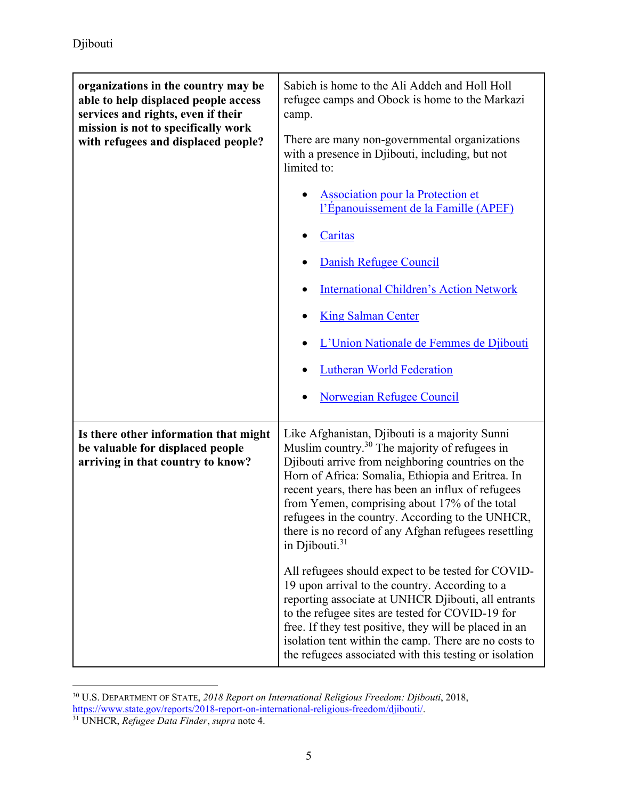| organizations in the country may be<br>able to help displaced people access<br>services and rights, even if their<br>mission is not to specifically work<br>with refugees and displaced people? | Sabieh is home to the Ali Addeh and Holl Holl<br>refugee camps and Obock is home to the Markazi<br>camp.<br>There are many non-governmental organizations<br>with a presence in Djibouti, including, but not<br>limited to:<br><b>Association pour la Protection et</b><br>l'Épanouissement de la Famille (APEF)<br>Caritas<br>Danish Refugee Council<br><b>International Children's Action Network</b><br><b>King Salman Center</b><br>L'Union Nationale de Femmes de Djibouti<br><b>Lutheran World Federation</b><br>Norwegian Refugee Council                                                                                                                                                                                                                                                                                                              |
|-------------------------------------------------------------------------------------------------------------------------------------------------------------------------------------------------|---------------------------------------------------------------------------------------------------------------------------------------------------------------------------------------------------------------------------------------------------------------------------------------------------------------------------------------------------------------------------------------------------------------------------------------------------------------------------------------------------------------------------------------------------------------------------------------------------------------------------------------------------------------------------------------------------------------------------------------------------------------------------------------------------------------------------------------------------------------|
| Is there other information that might<br>be valuable for displaced people<br>arriving in that country to know?                                                                                  | Like Afghanistan, Djibouti is a majority Sunni<br>Muslim country. <sup>30</sup> The majority of refugees in<br>Djibouti arrive from neighboring countries on the<br>Horn of Africa: Somalia, Ethiopia and Eritrea. In<br>recent years, there has been an influx of refugees<br>from Yemen, comprising about 17% of the total<br>refugees in the country. According to the UNHCR,<br>there is no record of any Afghan refugees resettling<br>in Djibouti. $31$<br>All refugees should expect to be tested for COVID-<br>19 upon arrival to the country. According to a<br>reporting associate at UNHCR Djibouti, all entrants<br>to the refugee sites are tested for COVID-19 for<br>free. If they test positive, they will be placed in an<br>isolation tent within the camp. There are no costs to<br>the refugees associated with this testing or isolation |

 $\overline{a}$ 30 U.S. DEPARTMENT OF STATE, *2018 Report on International Religious Freedom: Djibouti*, 2018, https://www.state.gov/reports/2018-report-on-international-religious-freedom/djibouti/. 31 UNHCR, *Refugee Data Finder*, *supra* note 4.